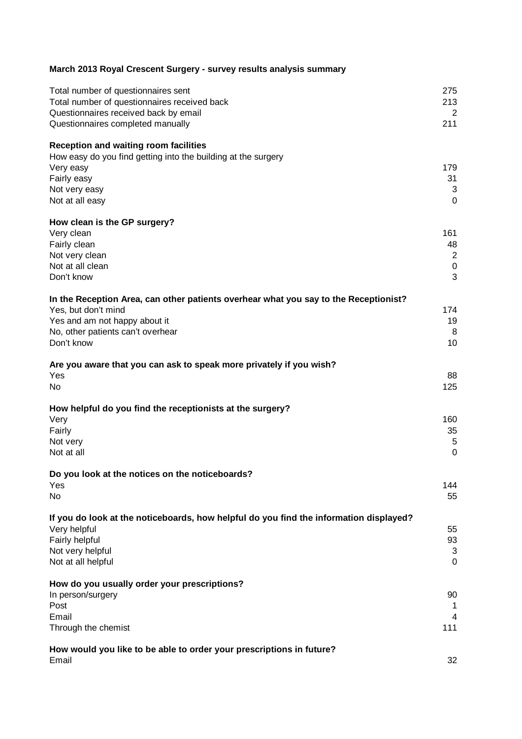| March 2013 Royal Crescent Surgery - survey results analysis summary                    |                |
|----------------------------------------------------------------------------------------|----------------|
| Total number of questionnaires sent                                                    | 275            |
| Total number of questionnaires received back                                           | 213            |
| Questionnaires received back by email                                                  | $\overline{2}$ |
| Questionnaires completed manually                                                      | 211            |
| <b>Reception and waiting room facilities</b>                                           |                |
| How easy do you find getting into the building at the surgery                          |                |
| Very easy                                                                              | 179            |
| Fairly easy                                                                            | 31             |
| Not very easy                                                                          | 3              |
| Not at all easy                                                                        | $\overline{0}$ |
| How clean is the GP surgery?                                                           |                |
| Very clean                                                                             | 161            |
| Fairly clean                                                                           | 48             |
| Not very clean                                                                         | $\overline{a}$ |
| Not at all clean                                                                       | $\overline{0}$ |
| Don't know                                                                             | 3              |
| In the Reception Area, can other patients overhear what you say to the Receptionist?   |                |
| Yes, but don't mind                                                                    | 174            |
| Yes and am not happy about it                                                          | 19             |
| No, other patients can't overhear                                                      | 8              |
| Don't know                                                                             | 10             |
| Are you aware that you can ask to speak more privately if you wish?                    |                |
| Yes                                                                                    | 88             |
| No.                                                                                    | 125            |
| How helpful do you find the receptionists at the surgery?                              |                |
| Very                                                                                   | 160            |
| Fairly                                                                                 | 35             |
| Not very                                                                               | 5              |
| Not at all                                                                             | $\overline{0}$ |
| Do you look at the notices on the noticeboards?                                        |                |
| Yes                                                                                    | 144            |
| No                                                                                     | 55             |
| If you do look at the noticeboards, how helpful do you find the information displayed? |                |
| Very helpful                                                                           | 55             |
| Fairly helpful                                                                         | 93             |
| Not very helpful                                                                       | 3              |
| Not at all helpful                                                                     | 0              |
| How do you usually order your prescriptions?                                           |                |
| In person/surgery                                                                      | 90             |
| Post                                                                                   | 1              |
| Email                                                                                  | 4              |
| Through the chemist                                                                    | 111            |
| How would you like to be able to order your prescriptions in future?                   |                |
| Email                                                                                  | 32             |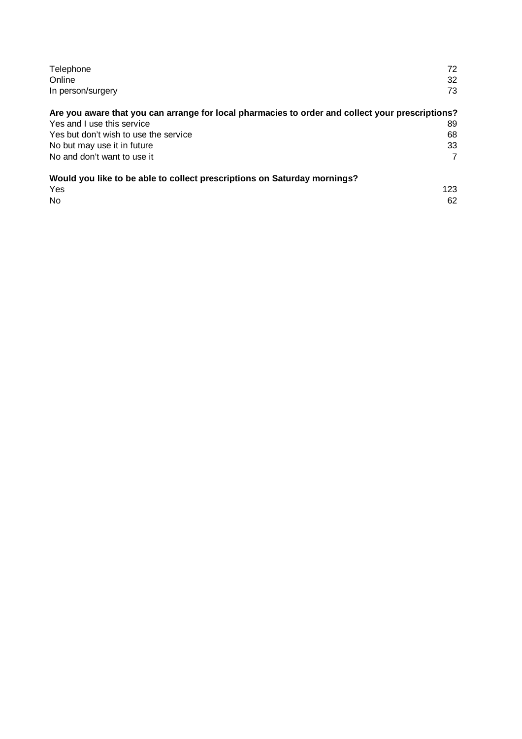| Telephone<br>Online                                                                              | 72<br>32 |
|--------------------------------------------------------------------------------------------------|----------|
| In person/surgery                                                                                | 73       |
| Are you aware that you can arrange for local pharmacies to order and collect your prescriptions? |          |
| Yes and I use this service                                                                       | 89       |
| Yes but don't wish to use the service                                                            | 68       |
| No but may use it in future                                                                      | 33       |
| No and don't want to use it                                                                      | 7        |
| Would you like to be able to collect prescriptions on Saturday mornings?                         |          |
| Yes                                                                                              | 123      |
| No                                                                                               | 62       |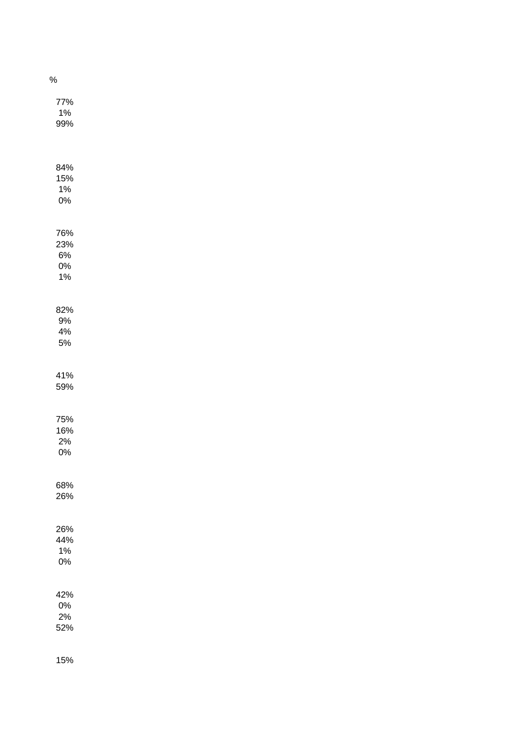| %                                     |  |  |
|---------------------------------------|--|--|
| 77%<br>$1\%$<br>99%                   |  |  |
| 84%<br>15%<br>$1\%$<br>$0\%$          |  |  |
| 76%<br>23%<br>$6\%$<br>$0\%$<br>$1\%$ |  |  |
| 82%<br>$9\%$<br>$4\%$<br>$5\%$        |  |  |
| 41%<br>59%                            |  |  |
| 75%<br>16%<br>$2\%$<br>$0\%$          |  |  |
| 68%<br>26%                            |  |  |
| 26%<br>44%<br>$1\%$<br>$0\%$          |  |  |
| 42%<br>$0\%$<br>$2\%$<br>52%          |  |  |
| 15%                                   |  |  |